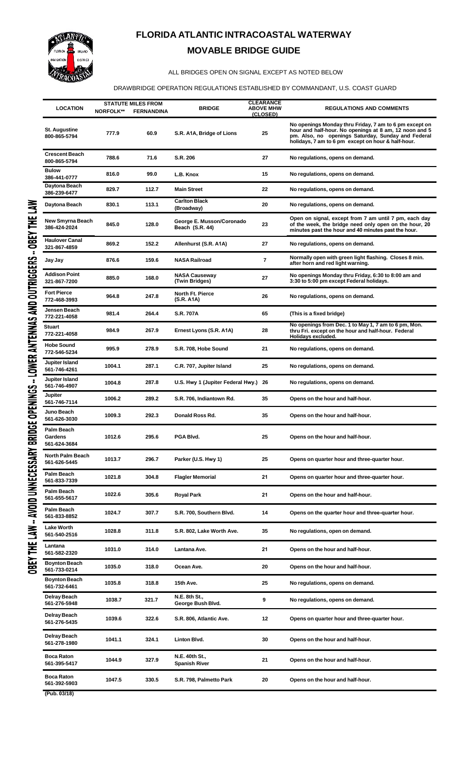

## **FLORIDA ATLANTIC INTRACOASTAL WATERWAY MOVABLE BRIDGE GUIDE**

## ALL BRIDGES OPEN ON SIGNAL EXCEPT AS NOTED BELOW

## DRAWBRIDGE OPERATION REGULATIONS ESTABLISHED BY COMMANDANT, U.S. COAST GUARD

| <b>LOCATION</b>                       | <b>NORFOLK**</b> | <b>STATUTE MILES FROM</b><br><b>FERNANDINA</b> | <b>BRIDGE</b>                                | <b>CLEARANCE</b><br><b>ABOVE MHW</b> | <b>REGULATIONS AND COMMENTS</b>                                                                                                                                                                                              |
|---------------------------------------|------------------|------------------------------------------------|----------------------------------------------|--------------------------------------|------------------------------------------------------------------------------------------------------------------------------------------------------------------------------------------------------------------------------|
| St. Augustine<br>800-865-5794         | 777.9            | 60.9                                           | S.R. A1A, Bridge of Lions                    | (CLOSED)<br>25                       | No openings Monday thru Friday, 7 am to 6 pm except on<br>hour and half-hour. No openings at 8 am, 12 noon and 5<br>pm. Also, no openings Saturday, Sunday and Federal<br>holidays, 7 am to 6 pm except on hour & half-hour. |
| <b>Crescent Beach</b><br>800-865-5794 | 788.6            | 71.6                                           | S.R. 206                                     | 27                                   | No regulations, opens on demand.                                                                                                                                                                                             |
| <b>Bulow</b><br>386-441-0777          | 816.0            | 99.0                                           | L.B. Knox                                    | 15                                   | No regulations, opens on demand.                                                                                                                                                                                             |
| Daytona Beach<br>386-239-6477         | 829.7            | 112.7                                          | <b>Main Street</b>                           | 22                                   | No regulations, opens on demand.                                                                                                                                                                                             |
| Daytona Beach                         | 830.1            | 113.1                                          | <b>Carlton Black</b><br>(Broadway)           | 20                                   | No regulations, opens on demand.                                                                                                                                                                                             |
| New Smyrna Beach<br>386-424-2024      | 845.0            | 128.0                                          | George E. Musson/Coronado<br>Beach (S.R. 44) | 23                                   | Open on signal, except from 7 am until 7 pm, each day<br>of the week, the bridge need only open on the hour, 20<br>minutes past the hour and 40 minutes past the hour.                                                       |
| <b>Haulover Canal</b><br>321-867-4859 | 869.2            | 152.2                                          | Allenhurst (S.R. A1A)                        | 27                                   | No regulations, opens on demand.                                                                                                                                                                                             |
| Jay Jay                               | 876.6            | 159.6                                          | <b>NASA Railroad</b>                         | 7                                    | Normally open with green light flashing. Closes 8 min.<br>after horn and red light warning.                                                                                                                                  |
| <b>Addison Point</b><br>321-867-7200  | 885.0            | 168.0                                          | <b>NASA Causeway</b><br>(Twin Bridges)       | 27                                   | No openings Monday thru Friday, 6:30 to 8:00 am and<br>3:30 to 5:00 pm except Federal holidays.                                                                                                                              |
| <b>Fort Pierce</b><br>772-468-3993    | 964.8            | 247.8                                          | North Ft. Pierce<br>(S.R. A1A)               | 26                                   | No regulations, opens on demand.                                                                                                                                                                                             |
| Jensen Beach<br>772-221-4058          | 981.4            | 264.4                                          | <b>S.R. 707A</b>                             | 65                                   | (This is a fixed bridge)                                                                                                                                                                                                     |
| Stuart<br>772-221-4058                | 984.9            | 267.9                                          | Ernest Lyons (S.R. A1A)                      | 28                                   | No openings from Dec. 1 to May 1, 7 am to 6 pm, Mon.<br>thru Fri. except on the hour and half-hour. Federal<br>Holidays excluded.                                                                                            |
| <b>Hobe Sound</b><br>772-546-5234     | 995.9            | 278.9                                          | S.R. 708, Hobe Sound                         | 21                                   | No regulations, opens on demand.                                                                                                                                                                                             |
| Jupiter Island<br>561-746-4261        | 1004.1           | 287.1                                          | C.R. 707, Jupiter Island                     | 25                                   | No regulations, opens on demand.                                                                                                                                                                                             |
| Jupiter Island<br>561-746-4907        | 1004.8           | 287.8                                          | U.S. Hwy 1 (Jupiter Federal Hwy.) 26         |                                      | No regulations, opens on demand.                                                                                                                                                                                             |
| Jupiter<br>561-746-7114               | 1006.2           | 289.2                                          | S.R. 706, Indiantown Rd.                     | 35                                   | Opens on the hour and half-hour.                                                                                                                                                                                             |
| Juno Beach<br>561-626-3030            | 1009.3           | 292.3                                          | Donald Ross Rd.                              | 35                                   | Opens on the hour and half-hour.                                                                                                                                                                                             |
| Palm Beach<br>Gardens<br>561-624-3684 | 1012.6           | 295.6                                          | PGA Blvd.                                    | 25                                   | Opens on the hour and half-hour.                                                                                                                                                                                             |
| North Palm Beach<br>561-626-5445      | 1013.7           | 296.7                                          | Parker (U.S. Hwy 1)                          | 25                                   | Opens on quarter hour and three-quarter hour.                                                                                                                                                                                |
| Palm Beach<br>561-833-7339            | 1021.8           | 304.8                                          | <b>Flagler Memorial</b>                      | 21                                   | Opens on quarter hour and three-quarter hour.                                                                                                                                                                                |
| Palm Beach<br>561-655-5617            | 1022.6           | 305.6                                          | <b>Royal Park</b>                            | 21                                   | Opens on the hour and half-hour.                                                                                                                                                                                             |
| Palm Beach<br>561-833-8852            | 1024.7           | 307.7                                          | S.R. 700, Southern Blvd.                     | 14                                   | Opens on the quarter hour and three-quarter hour.                                                                                                                                                                            |
| <b>Lake Worth</b><br>561-540-2516     | 1028.8           | 311.8                                          | S.R. 802, Lake Worth Ave.                    | 35                                   | No regulations, open on demand.                                                                                                                                                                                              |
| Lantana<br>561-582-2320               | 1031.0           | 314.0                                          | Lantana Ave.                                 | 21                                   | Opens on the hour and half-hour.                                                                                                                                                                                             |
| <b>Boynton Beach</b><br>561-733-0214  | 1035.0           | 318.0                                          | Ocean Ave.                                   | 20                                   | Opens on the hour and half-hour.                                                                                                                                                                                             |
| <b>Boynton Beach</b><br>561-732-6461  | 1035.8           | 318.8                                          | 15th Ave.                                    | 25                                   | No regulations, opens on demand.                                                                                                                                                                                             |
| Delray Beach<br>561-276-5948          | 1038.7           | 321.7                                          | N.E. 8th St.,<br>George Bush Blvd.           | 9                                    | No regulations, opens on demand.                                                                                                                                                                                             |
| Delray Beach<br>561-276-5435          | 1039.6           | 322.6                                          | S.R. 806, Atlantic Ave.                      | 12                                   | Opens on quarter hour and three-quarter hour.                                                                                                                                                                                |
| Delray Beach<br>561-278-1980          | 1041.1           | 324.1                                          | Linton Blvd.                                 | 30                                   | Opens on the hour and half-hour.                                                                                                                                                                                             |
| <b>Boca Raton</b><br>561-395-5417     | 1044.9           | 327.9                                          | N.E. 40th St.,<br><b>Spanish River</b>       | 21                                   | Opens on the hour and half-hour.                                                                                                                                                                                             |
| <b>Boca Raton</b><br>561-392-5903     | 1047.5           | 330.5                                          | S.R. 798, Palmetto Park                      | 20                                   | Opens on the hour and half-hour.                                                                                                                                                                                             |
| (Pub. 03/18)                          |                  |                                                |                                              |                                      |                                                                                                                                                                                                                              |

**(Pub. 03/18)**